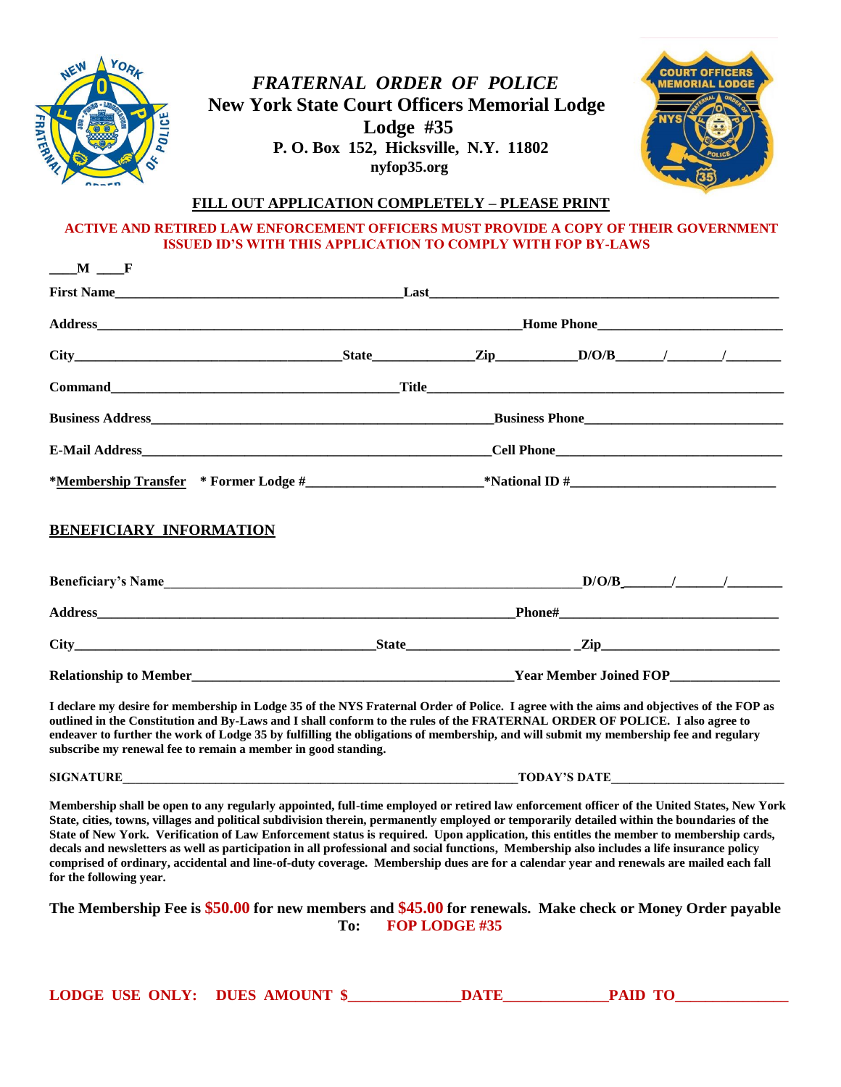

# *FRATERNAL ORDER OF POLICE* **New York State Court Officers Memorial Lodge Lodge #35 P. O. Box 152, Hicksville, N.Y. 11802 P. nyfop35.org**



#### **FILL OUT APPLICATION COMPLETELY – PLEASE PRINT**

#### **ACTIVE AND RETIRED LAW ENFORCEMENT OFFICERS MUST PROVIDE A COPY OF THEIR GOVERNMENT ISSUED ID'S WITH THIS APPLICATION TO COMPLY WITH FOP BY-LAWS**

# **BENEFICIARY INFORMATION**

| <b>Beneficiary's Name</b>                                                                                                               |              | D/O/B                         | $\overline{1}$ $\overline{1}$ $\overline{1}$ $\overline{1}$ $\overline{1}$ $\overline{1}$ $\overline{1}$ $\overline{1}$ $\overline{1}$ $\overline{1}$ $\overline{1}$ $\overline{1}$ $\overline{1}$ $\overline{1}$ $\overline{1}$ $\overline{1}$ $\overline{1}$ $\overline{1}$ $\overline{1}$ $\overline{1}$ $\overline{1}$ $\overline{1}$ $\overline{1}$ $\overline{1}$ $\overline{$ |
|-----------------------------------------------------------------------------------------------------------------------------------------|--------------|-------------------------------|--------------------------------------------------------------------------------------------------------------------------------------------------------------------------------------------------------------------------------------------------------------------------------------------------------------------------------------------------------------------------------------|
| <b>Address</b><br><u> 1999 - Jan James James James James James James James James James James James James James James James James Ja</u> |              | <b>Phone#</b>                 |                                                                                                                                                                                                                                                                                                                                                                                      |
| <b>City</b>                                                                                                                             | <b>State</b> | Zip                           |                                                                                                                                                                                                                                                                                                                                                                                      |
| <b>Relationship to Member</b>                                                                                                           |              | <b>Year Member Joined FOP</b> |                                                                                                                                                                                                                                                                                                                                                                                      |

**I declare my desire for membership in Lodge 35 of the NYS Fraternal Order of Police. I agree with the aims and objectives of the FOP as outlined in the Constitution and By-Laws and I shall conform to the rules of the FRATERNAL ORDER OF POLICE. I also agree to endeaver to further the work of Lodge 35 by fulfilling the obligations of membership, and will submit my membership fee and regulary subscribe my renewal fee to remain a member in good standing.**

**SIGNATURE TODAY'S DATE** 

**Membership shall be open to any regularly appointed, full-time employed or retired law enforcement officer of the United States, New York State, cities, towns, villages and political subdivision therein, permanently employed or temporarily detailed within the boundaries of the State of New York. Verification of Law Enforcement status is required. Upon application, this entitles the member to membership cards, decals and newsletters as well as participation in all professional and social functions, Membership also includes a life insurance policy comprised of ordinary, accidental and line-of-duty coverage. Membership dues are for a calendar year and renewals are mailed each fall for the following year.**

**The Membership Fee is \$50.00 for new members and \$45.00 for renewals. Make check or Money Order payable To: FOP LODGE #35**

| <b>LODGE USE ONLY: DUES AMOUNT \$</b> |  | 7 A TF | PAID TO |  |
|---------------------------------------|--|--------|---------|--|
|---------------------------------------|--|--------|---------|--|